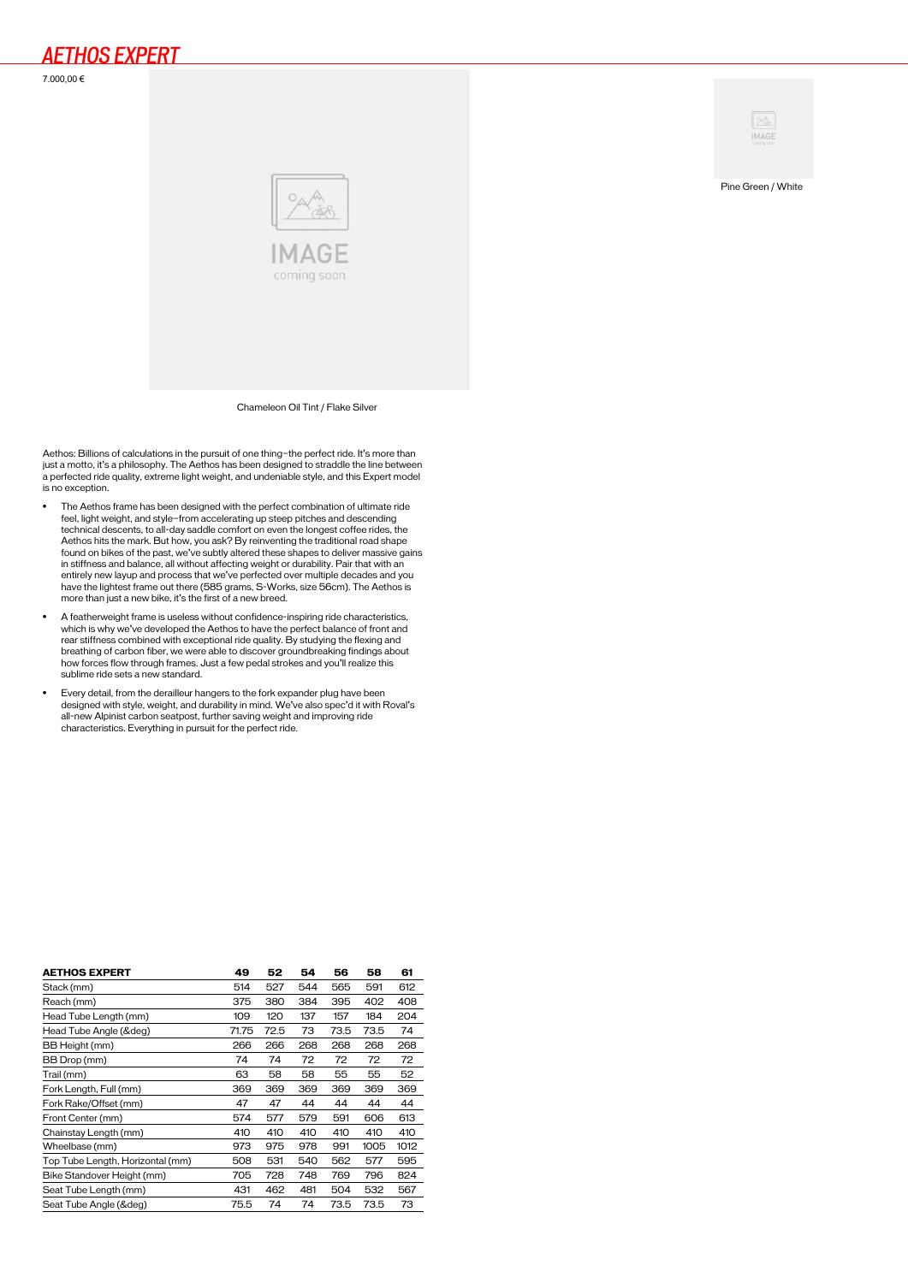7.000,00 €





Pine Green / White

Chameleon Oil Tint / Flake Silver

Aethos: Billions of calculations in the pursuit of one thing—the perfect ride. It's more than just a motto, it's a philosophy. The Aethos has been designed to straddle the line between a perfected ride quality, extreme light weight, and undeniable style, and this Expert model is no exception.

- The Aethos frame has been designed with the perfect combination of ultimate ride feel, light weight, and style—from accelerating up steep pitches and descending technical descents, to all-day saddle comfort on even the longest coffee rides, the Aethos hits the mark. But how, you ask? By reinventing the traditional road shape found on bikes of the past, we've subtly altered these shapes to deliver massive gains in stiffness and balance, all without affecting weight or durability. Pair that with an entirely new layup and process that we've perfected over multiple decades and you have the lightest frame out there (585 grams, S-Works, size 56cm). The Aethos is more than just a new bike, it's the first of a new breed.
- A featherweight frame is useless without confidence-inspiring ride characteristics, which is why we've developed the Aethos to have the perfect balance of front and rear stiffness combined with exceptional ride quality. By studying the flexing and<br>breathing of carbon fiber, we were able to discover groundbreaking findings about<br>how forces flow through frames. Just a few pedal strokes sublime ride sets a new standard.
- Every detail, from the derailleur hangers to the fork expander plug have been designed with style, weight, and durability in mind. We've also spec'd it with Roval's all-new Alpinist carbon seatpost, further saving weight and improving ride characteristics. Everything in pursuit for the perfect ride.

| <b>AETHOS EXPERT</b>             | 49    | 52   | 54  | 56   | 58   | 61   |
|----------------------------------|-------|------|-----|------|------|------|
| Stack (mm)                       | 514   | 527  | 544 | 565  | 591  | 612  |
| Reach (mm)                       | 375   | 380  | 384 | 395  | 402  | 408  |
| Head Tube Length (mm)            | 109   | 120  | 137 | 157  | 184  | 204  |
| Head Tube Angle (°)              | 71.75 | 72.5 | 73  | 73.5 | 73.5 | 74   |
| BB Height (mm)                   | 266   | 266  | 268 | 268  | 268  | 268  |
| BB Drop (mm)                     | 74    | 74   | 72  | 72   | 72   | 72   |
| Trail (mm)                       | 63    | 58   | 58  | 55   | 55   | 52   |
| Fork Length, Full (mm)           | 369   | 369  | 369 | 369  | 369  | 369  |
| Fork Rake/Offset (mm)            | 47    | 47   | 44  | 44   | 44   | 44   |
| Front Center (mm)                | 574   | 577  | 579 | 591  | 606  | 613  |
| Chainstay Length (mm)            | 410   | 410  | 410 | 410  | 410  | 410  |
| Wheelbase (mm)                   | 973   | 975  | 978 | 991  | 1005 | 1012 |
| Top Tube Length, Horizontal (mm) | 508   | 531  | 540 | 562  | 577  | 595  |
| Bike Standover Height (mm)       | 705   | 728  | 748 | 769  | 796  | 824  |
| Seat Tube Length (mm)            | 431   | 462  | 481 | 504  | 532  | 567  |
| Seat Tube Angle (°)              | 75.5  | 74   | 74  | 73.5 | 73.5 | 73   |